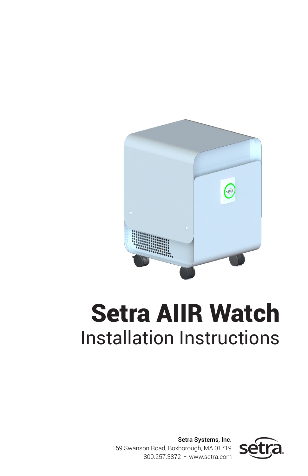

# Setra AIIR Watch Installation Instructions

Setra Systems, Inc. 159 Swanson Road, Boxborough, MA 01719 800.257.3872 • www.setra.com

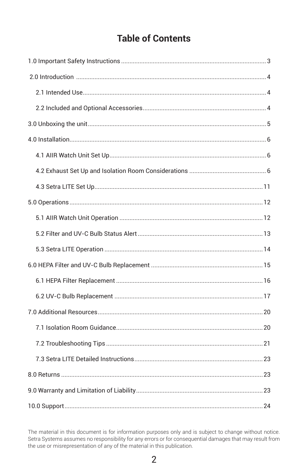### **Table of Contents**

The material in this document is for information purposes only and is subject to change without notice. Setra Systems assumes no responsibility for any errors or for consequential damages that may result from<br>the use or misrepresentation of any of the material in this publication.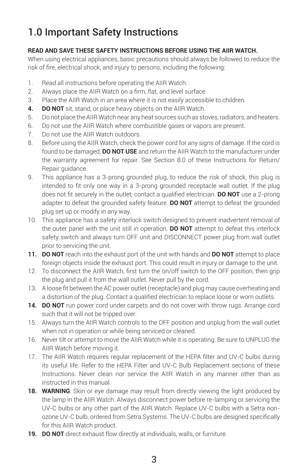# 1.0 Important Safety Instructions

#### **READ AND SAVE THESE SAFETY INSTRUCTIONS BEFORE USING THE AIIR WATCH.**

When using electrical appliances, basic precautions should always be followed to reduce the risk of fire, electrical shock, and injury to persons, including the following:

- 1. Read all instructions before operating the AIIR Watch.
- 2. Always place the AIIR Watch on a firm, flat, and level surface.
- 3. Place the AIIR Watch in an area where it is not easily accessible to children.
- **4. DO NOT** sit, stand, or place heavy objects on the AIIR Watch.
- 5. Do not place the AIIR Watch near any heat sources such as stoves, radiators, and heaters.
- 6. Do not use the AIIR Watch where combustible gases or vapors are present.
- 7. Do not use the AIIR Watch outdoors.
- 8. Before using the AIIR Watch, check the power cord for any signs of damage. If the cord is found to be damaged, **DO NOT USE** and return the AIIR Watch to the manufacturer under the warranty agreement for repair. See Section 8.0 of these Instructions for Return/ Repair guidance.
- 9. This appliance has a 3-prong grounded plug, to reduce the risk of shock, this plug is intended to fit only one way in a 3-prong grounded receptacle wall outlet. If the plug does not fit securely in the outlet, contact a qualified electrician. **DO NOT** use a 2-prong adapter to defeat the grounded safety feature. **DO NOT** attempt to defeat the grounded plug set up or modify in any way.
- 10. This appliance has a safety interlock switch designed to prevent inadvertent removal of the outer panel with the unit still in operation. **DO NOT** attempt to defeat this interlock safety switch and always turn OFF unit and DISCONNECT power plug from wall outlet prior to servicing the unit.
- **11. DO NOT** reach into the exhaust port of the unit with hands and **DO NOT** attempt to place foreign objects inside the exhaust port. This could result in injury or damage to the unit.
- 12. To disconnect the AIIR Watch, first turn the on/off switch to the OFF position, then grip the plug and pull it from the wall outlet. Never pull by the cord.
- 13. A loose fit between the AC power outlet (receptacle) and plug may cause overheating and a distortion of the plug. Contact a qualified electrician to replace loose or worn outlets.
- **14. DO NOT** run power cord under carpets and do not cover with throw rugs. Arrange cord such that it will not be tripped over.
- 15. Always turn the AIIR Watch controls to the OFF position and unplug from the wall outlet when not in operation or while being serviced or cleaned.
- 16. Never tilt or attempt to move the AIIR Watch while it is operating. Be sure to UNPLUG the AIIR Watch before moving it.
- 17. The AIIR Watch requires regular replacement of the HEPA filter and UV-C bulbs during its useful life. Refer to the HEPA Filter and UV-C Bulb Replacement sections of these Instructions. Never clean nor service the AIIR Watch in any manner other than as instructed in this manual.
- **18. WARNING**: Skin or eye damage may result from directly viewing the light produced by the lamp in the AIIR Watch. Always disconnect power before re-lamping or servicing the UV-C bulbs or any other part of the AIIR Watch. Replace UV-C bulbs with a Setra nonozone UV-C bulb, ordered from Setra Systems. The UV-C bulbs are designed specifically for this AIIR Watch product.
- **19. DO NOT** direct exhaust flow directly at individuals, walls, or furniture.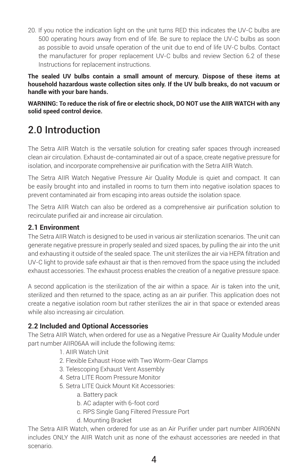20. If you notice the indication light on the unit turns RED this indicates the UV-C bulbs are 500 operating hours away from end of life. Be sure to replace the UV-C bulbs as soon as possible to avoid unsafe operation of the unit due to end of life UV-C bulbs. Contact the manufacturer for proper replacement UV-C bulbs and review Section 6.2 of these Instructions for replacement instructions.

**The sealed UV bulbs contain a small amount of mercury. Dispose of these items at household hazardous waste collection sites only. If the UV bulb breaks, do not vacuum or handle with your bare hands.** 

**WARNING: To reduce the risk of fire or electric shock, DO NOT use the AIIR WATCH with any solid speed control device.**

# 2.0 Introduction

The Setra AIIR Watch is the versatile solution for creating safer spaces through increased clean air circulation. Exhaust de-contaminated air out of a space, create negative pressure for isolation, and incorporate comprehensive air purification with the Setra AIIR Watch.

The Setra AIIR Watch Negative Pressure Air Quality Module is quiet and compact. It can be easily brought into and installed in rooms to turn them into negative isolation spaces to prevent contaminated air from escaping into areas outside the isolation space.

The Setra AIIR Watch can also be ordered as a comprehensive air purification solution to recirculate purified air and increase air circulation.

#### **2.1 Environment**

The Setra AIIR Watch is designed to be used in various air sterilization scenarios. The unit can generate negative pressure in properly sealed and sized spaces, by pulling the air into the unit and exhausting it outside of the sealed space. The unit sterilizes the air via HEPA filtration and UV-C light to provide safe exhaust air that is then removed from the space using the included exhaust accessories. The exhaust process enables the creation of a negative pressure space.

A second application is the sterilization of the air within a space. Air is taken into the unit, sterilized and then returned to the space, acting as an air purifier. This application does not create a negative isolation room but rather sterilizes the air in that space or extended areas while also increasing air circulation.

#### **2.2 Included and Optional Accessories**

The Setra AIIR Watch, when ordered for use as a Negative Pressure Air Quality Module under part number AIIR06AA will include the following items:

- 1. AIIR Watch Unit
- 2. Flexible Exhaust Hose with Two Worm-Gear Clamps
- 3. Telescoping Exhaust Vent Assembly
- 4. Setra LITE Room Pressure Monitor
- 5. Setra LITE Quick Mount Kit Accessories:
	- a. Battery pack
	- b. AC adapter with 6-foot cord
	- c. RPS Single Gang Filtered Pressure Port
	- d. Mounting Bracket

The Setra AIIR Watch, when ordered for use as an Air Purifier under part number AIIR06NN includes ONLY the AIIR Watch unit as none of the exhaust accessories are needed in that scenario.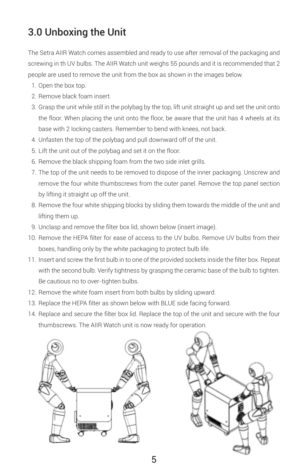# 3.0 Unboxing the Unit

The Setra AIIR Watch comes assembled and ready to use after removal of the packaging and screwing in th UV bulbs. The AIIR Watch unit weighs 55 pounds and it is recommended that 2 people are used to remove the unit from the box as shown in the images below.

- 1. Open the box top.
- 2. Remove black foam insert.
- 3. Grasp the unit while still in the polybag by the top, lift unit straight up and set the unit onto the floor. When placing the unit onto the floor, be aware that the unit has 4 wheels at its base with 2 locking casters. Remember to bend with knees, not back.
- 4. Unfasten the top of the polybag and pull downward off of the unit.
- 5. Lift the unit out of the polybag and set it on the floor.
- 6. Remove the black shipping foam from the two side inlet grills.
- 7. The top of the unit needs to be removed to dispose of the inner packaging. Unscrew and remove the four white thumbscrews from the outer panel. Remove the top panel section by lifting it straight up off the unit.
- 8. Remove the four white shipping blocks by sliding them towards the middle of the unit and lifting them up.
- 9. Unclasp and remove the filter box lid, shown below (insert image).
- 10. Remove the HEPA filter for ease of access to the UV bulbs. Remove UV bulbs from their boxes, handling only by the white packaging to protect bulb life.
- 11. Insert and screw the first bulb in to one of the provided sockets inside the filter box. Repeat with the second bulb. Verify tightness by grasping the ceramic base of the bulb to tighten. Be cautious no to over-tighten bulbs.
- 12. Remove the white foam insert from both bulbs by sliding upward.
- 13. Replace the HEPA filter as shown below with BLUE side facing forward.
- 14. Replace and secure the filter box lid. Replace the top of the unit and secure with the four thumbscrews. The AIIR Watch unit is now ready for operation.



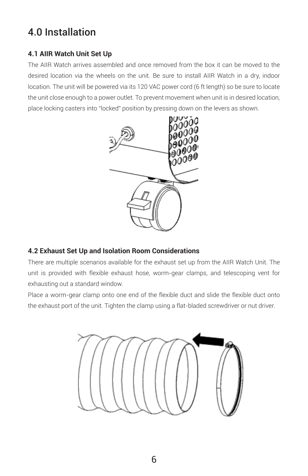# 4.0 Installation

#### **4.1 AIIR Watch Unit Set Up**

The AIIR Watch arrives assembled and once removed from the box it can be moved to the desired location via the wheels on the unit. Be sure to install AIIR Watch in a dry, indoor location. The unit will be powered via its 120 VAC power cord (6 ft length) so be sure to locate the unit close enough to a power outlet. To prevent movement when unit is in desired location, place locking casters into "locked" position by pressing down on the levers as shown.



#### **4.2 Exhaust Set Up and Isolation Room Considerations**

There are multiple scenarios available for the exhaust set up from the AIIR Watch Unit. The unit is provided with flexible exhaust hose, worm-gear clamps, and telescoping vent for exhausting out a standard window.

Place a worm-gear clamp onto one end of the flexible duct and slide the flexible duct onto the exhaust port of the unit. Tighten the clamp using a flat-bladed screwdriver or nut driver.

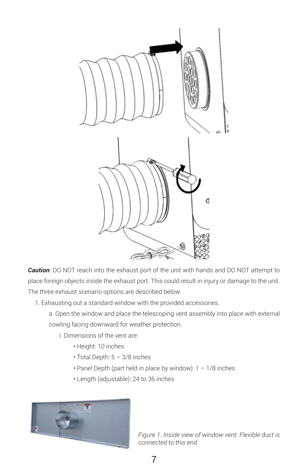

*Caution*: DO NOT reach into the exhaust port of the unit with hands and DO NOT attempt to place foreign objects inside the exhaust port. This could result in injury or damage to the unit. The three exhaust scenario options are described below:

- 1. Exhausting out a standard window with the provided accessories.
	- a. Open the window and place the telescoping vent assembly into place with external cowling facing downward for weather protection.
		- i. Dimensions of the vent are:
			- Height: 10 inches
			- $\cdot$  Total Depth:  $5 3/8$  inches
			- Panel Depth (part held in place by window):  $1 1/8$  inches
			- Length (adjustable): 24 to 36 inches



*Figure 1. Inside view of window vent. Flexible duct is connected to this end.*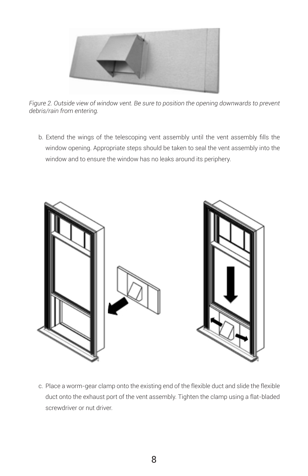

*Figure 2. Outside view of window vent. Be sure to position the opening downwards to prevent debris/rain from entering.*

b. Extend the wings of the telescoping vent assembly until the vent assembly fills the window opening. Appropriate steps should be taken to seal the vent assembly into the window and to ensure the window has no leaks around its periphery.



c. Place a worm-gear clamp onto the existing end of the flexible duct and slide the flexible duct onto the exhaust port of the vent assembly. Tighten the clamp using a flat-bladed screwdriver or nut driver.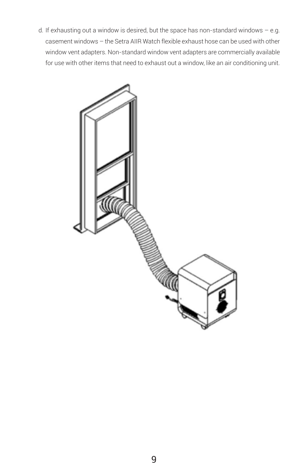d. If exhausting out a window is desired, but the space has non-standard windows – e.g. casement windows – the Setra AIIR Watch flexible exhaust hose can be used with other window vent adapters. Non-standard window vent adapters are commercially available for use with other items that need to exhaust out a window, like an air conditioning unit.

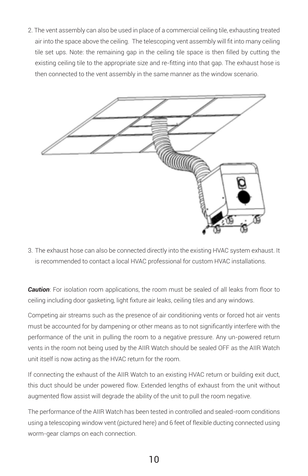2. The vent assembly can also be used in place of a commercial ceiling tile, exhausting treated air into the space above the ceiling. The telescoping vent assembly will fit into many ceiling tile set ups. Note: the remaining gap in the ceiling tile space is then filled by cutting the existing ceiling tile to the appropriate size and re-fitting into that gap. The exhaust hose is then connected to the vent assembly in the same manner as the window scenario.



3. The exhaust hose can also be connected directly into the existing HVAC system exhaust. It is recommended to contact a local HVAC professional for custom HVAC installations.

**Caution**: For isolation room applications, the room must be sealed of all leaks from floor to ceiling including door gasketing, light fixture air leaks, ceiling tiles and any windows.

Competing air streams such as the presence of air conditioning vents or forced hot air vents must be accounted for by dampening or other means as to not significantly interfere with the performance of the unit in pulling the room to a negative pressure. Any un-powered return vents in the room not being used by the AIIR Watch should be sealed OFF as the AIIR Watch unit itself is now acting as the HVAC return for the room.

If connecting the exhaust of the AIIR Watch to an existing HVAC return or building exit duct, this duct should be under powered flow. Extended lengths of exhaust from the unit without augmented flow assist will degrade the ability of the unit to pull the room negative.

The performance of the AIIR Watch has been tested in controlled and sealed-room conditions using a telescoping window vent (pictured here) and 6 feet of flexible ducting connected using worm-gear clamps on each connection.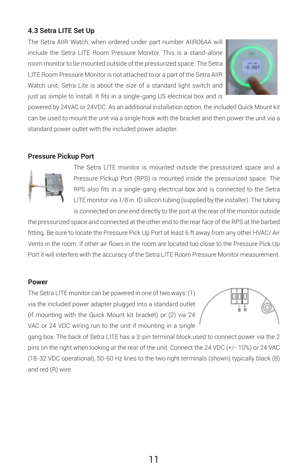#### **4.3 Setra LITE Set Up**

The Setra AIIR Watch, when ordered under part number AIIR06AA will include the Setra LITE Room Pressure Monitor. This is a stand-alone room monitor to be mounted outside of the pressurized space. The Setra LITE Room Pressure Monitor is not attached to or a part of the Setra AIIR Watch unit. Setra Lite is about the size of a standard light switch and just as simple to install. It fits in a single-gang US electrical box and is



powered by 24VAC or 24VDC. As an additional installation option, the included Quick Mount kit can be used to mount the unit via a single hook with the bracket and then power the unit via a standard power outlet with the included power adapter.

#### **Pressure Pickup Port**



The Setra LITE monitor is mounted outside the pressurized space and a Pressure Pickup Port (RPS) is mounted inside the pressurized space. The RPS also fits in a single-gang electrical box and is connected to the Setra LITE monitor via 1/8 in. ID silicon tubing (supplied by the installer). The tubing is connected on one end directly to the port at the rear of the monitor outside

the pressurized space and connected at the other end to the rear face of the RPS at the barbed fitting. Be sure to locate the Pressure Pick Up Port at least 6 ft away from any other HVAC/ Air Vents in the room. If other air flows in the room are located too close to the Pressure Pick Up Port it will interfere with the accuracy of the Setra LITE Room Pressure Monitor measurement.

#### **Power**

The Setra LITE monitor can be powered in one of two ways: (1) via the included power adapter plugged into a standard outlet (if mounting with the Quick Mount kit bracket) or (2) via 24 VAC or 24 VDC wiring run to the unit if mounting in a single



gang box. The back of Setra LITE has a 3-pin terminal block used to connect power via the 2 pins on the right when looking at the rear of the unit. Connect the 24 VDC (+/- 10%) or 24 VAC (18-32 VDC operational), 50-60 Hz lines to the two right terminals (shown) typically black (B) and red (R) wire.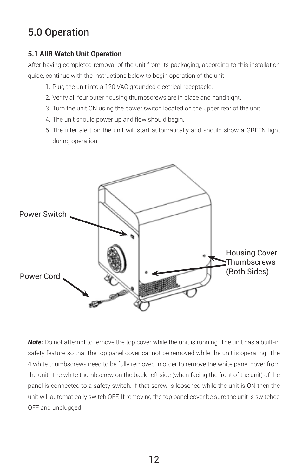# 5.0 Operation

#### **5.1 AIIR Watch Unit Operation**

After having completed removal of the unit from its packaging, according to this installation guide, continue with the instructions below to begin operation of the unit:

- 1. Plug the unit into a 120 VAC grounded electrical receptacle.
- 2. Verify all four outer housing thumbscrews are in place and hand tight.
- 3. Turn the unit ON using the power switch located on the upper rear of the unit.
- 4. The unit should power up and flow should begin.
- 5. The filter alert on the unit will start automatically and should show a GREEN light during operation.



**Note:** Do not attempt to remove the top cover while the unit is running. The unit has a built-in safety feature so that the top panel cover cannot be removed while the unit is operating. The 4 white thumbscrews need to be fully removed in order to remove the white panel cover from the unit. The white thumbscrew on the back-left side (when facing the front of the unit) of the panel is connected to a safety switch. If that screw is loosened while the unit is ON then the unit will automatically switch OFF. If removing the top panel cover be sure the unit is switched OFF and unplugged.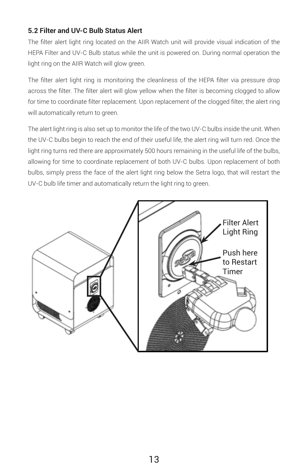#### **5.2 Filter and UV-C Bulb Status Alert**

The filter alert light ring located on the AIIR Watch unit will provide visual indication of the HEPA Filter and UV-C Bulb status while the unit is powered on. During normal operation the light ring on the AIIR Watch will glow green.

The filter alert light ring is monitoring the cleanliness of the HEPA filter via pressure drop across the filter. The filter alert will glow yellow when the filter is becoming clogged to allow for time to coordinate filter replacement. Upon replacement of the clogged filter, the alert ring will automatically return to green.

The alert light ring is also set up to monitor the life of the two UV-C bulbs inside the unit. When the UV-C bulbs begin to reach the end of their useful life, the alert ring will turn red. Once the light ring turns red there are approximately 500 hours remaining in the useful life of the bulbs, allowing for time to coordinate replacement of both UV-C bulbs. Upon replacement of both bulbs, simply press the face of the alert light ring below the Setra logo, that will restart the UV-C bulb life timer and automatically return the light ring to green.

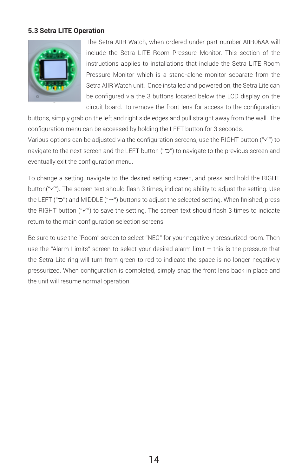#### **5.3 Setra LITE Operation**



The Setra AIIR Watch, when ordered under part number AIIR06AA will include the Setra LITE Room Pressure Monitor. This section of the instructions applies to installations that include the Setra LITE Room Pressure Monitor which is a stand-alone monitor separate from the Setra AIIR Watch unit. Once installed and powered on, the Setra Lite can be configured via the 3 buttons located below the LCD display on the circuit board. To remove the front lens for access to the configuration

buttons, simply grab on the left and right side edges and pull straight away from the wall. The configuration menu can be accessed by holding the LEFT button for 3 seconds.

Various options can be adjusted via the configuration screens, use the RIGHT button (" $V$ ") to navigate to the next screen and the LEFT button ("כ") to navigate to the previous screen and eventually exit the configuration menu.

To change a setting, navigate to the desired setting screen, and press and hold the RIGHT button( $\mathscr{C}\mathscr{C}$ ). The screen text should flash 3 times, indicating ability to adjust the setting. Use the LEFT ("ל") and MIDDLE ("→") buttons to adjust the selected setting. When finished, press the RIGHT button (" $V$ ") to save the setting. The screen text should flash 3 times to indicate return to the main configuration selection screens.

Be sure to use the "Room" screen to select "NEG" for your negatively pressurized room. Then use the "Alarm Limits" screen to select your desired alarm limit – this is the pressure that the Setra Lite ring will turn from green to red to indicate the space is no longer negatively pressurized. When configuration is completed, simply snap the front lens back in place and the unit will resume normal operation.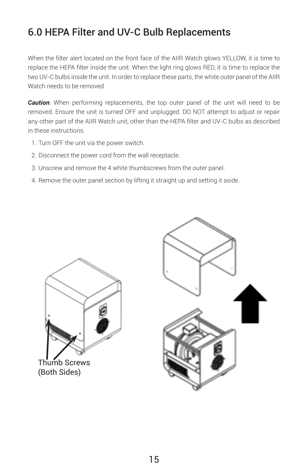# 6.0 HEPA Filter and UV-C Bulb Replacements

When the filter alert located on the front face of the AIIR Watch glows YELLOW, it is time to replace the HEPA filter inside the unit. When the light ring glows RED, it is time to replace the two UV-C bulbs inside the unit. In order to replace these parts, the white outer panel of the AIIR Watch needs to be removed.

**Caution**: When performing replacements, the top outer panel of the unit will need to be removed. Ensure the unit is turned OFF and unplugged. DO NOT attempt to adjust or repair any other part of the AIIR Watch unit, other than the HEPA filter and UV-C bulbs as described in these instructions.

- 1. Turn OFF the unit via the power switch.
- 2. Disconnect the power cord from the wall receptacle.
- 3. Unscrew and remove the 4 white thumbscrews from the outer panel.
- 4. Remove the outer panel section by lifting it straight up and setting it aside.



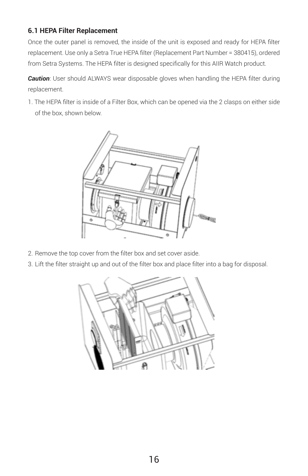#### **6.1 HEPA Filter Replacement**

Once the outer panel is removed, the inside of the unit is exposed and ready for HEPA filter replacement. Use only a Setra True HEPA filter (Replacement Part Number = 380415), ordered from Setra Systems. The HEPA filter is designed specifically for this AIIR Watch product.

*Caution*: User should ALWAYS wear disposable gloves when handling the HEPA filter during replacement.

1. The HEPA filter is inside of a Filter Box, which can be opened via the 2 clasps on either side of the box, shown below.



- 2. Remove the top cover from the filter box and set cover aside.
- 3. Lift the filter straight up and out of the filter box and place filter into a bag for disposal.

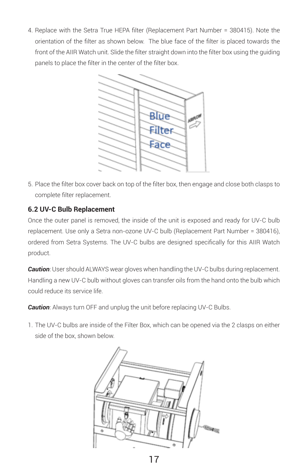4. Replace with the Setra True HEPA filter (Replacement Part Number = 380415). Note the orientation of the filter as shown below. The blue face of the filter is placed towards the front of the AIIR Watch unit. Slide the filter straight down into the filter box using the guiding panels to place the filter in the center of the filter box.



5. Place the filter box cover back on top of the filter box, then engage and close both clasps to complete filter replacement.

#### **6.2 UV-C Bulb Replacement**

Once the outer panel is removed, the inside of the unit is exposed and ready for UV-C bulb replacement. Use only a Setra non-ozone UV-C bulb (Replacement Part Number = 380416), ordered from Setra Systems. The UV-C bulbs are designed specifically for this AIIR Watch product.

*Caution*: User should ALWAYS wear gloves when handling the UV-C bulbs during replacement. Handling a new UV-C bulb without gloves can transfer oils from the hand onto the bulb which could reduce its service life.

**Caution:** Always turn OFF and unplug the unit before replacing UV-C Bulbs.

1. The UV-C bulbs are inside of the Filter Box, which can be opened via the 2 clasps on either side of the box, shown below.

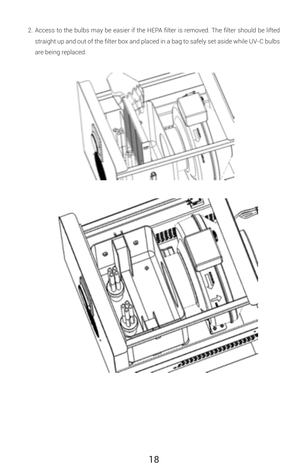2. Access to the bulbs may be easier if the HEPA filter is removed. The filter should be lifted straight up and out of the filter box and placed in a bag to safely set aside while UV-C bulbs are being replaced.



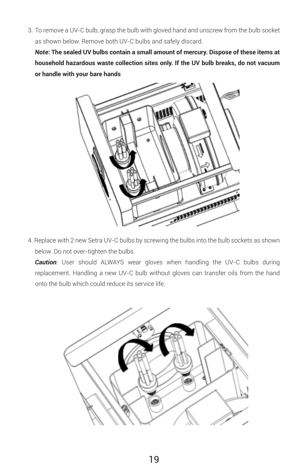3. To remove a UV-C bulb, grasp the bulb with gloved hand and unscrew from the bulb socket as shown below. Remove both UV-C bulbs and safely discard.

*Note***: The sealed UV bulbs contain a small amount of mercury. Dispose of these items at household hazardous waste collection sites only. If the UV bulb breaks, do not vacuum or handle with your bare hands**



4. Replace with 2 new Setra UV-C bulbs by screwing the bulbs into the bulb sockets as shown below. Do not over-tighten the bulbs.

*Caution*: User should ALWAYS wear gloves when handling the UV-C bulbs during replacement. Handling a new UV-C bulb without gloves can transfer oils from the hand onto the bulb which could reduce its service life.

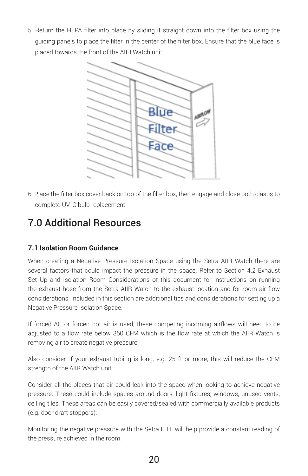5. Return the HEPA filter into place by sliding it straight down into the filter box using the guiding panels to place the filter in the center of the filter box. Ensure that the blue face is placed towards the front of the AIIR Watch unit.



6. Place the filter box cover back on top of the filter box, then engage and close both clasps to complete UV-C bulb replacement.

# 7.0 Additional Resources

#### **7.1 Isolation Room Guidance**

When creating a Negative Pressure Isolation Space using the Setra AIIR Watch there are several factors that could impact the pressure in the space. Refer to Section 4.2 Exhaust Set Up and Isolation Room Considerations of this document for instructions on running the exhaust hose from the Setra AIIR Watch to the exhaust location and for room air flow considerations. Included in this section are additional tips and considerations for setting up a Negative Pressure Isolation Space.

If forced AC or forced hot air is used, these competing incoming airflows will need to be adjusted to a flow rate below 350 CFM which is the flow rate at which the AIIR Watch is removing air to create negative pressure.

Also consider, if your exhaust tubing is long, e.g. 25 ft or more, this will reduce the CFM strength of the AIIR Watch unit.

Consider all the places that air could leak into the space when looking to achieve negative pressure. These could include spaces around doors, light fixtures, windows, unused vents, ceiling tiles. These areas can be easily covered/sealed with commercially available products (e.g. door draft stoppers).

Monitoring the negative pressure with the Setra LITE will help provide a constant reading of the pressure achieved in the room.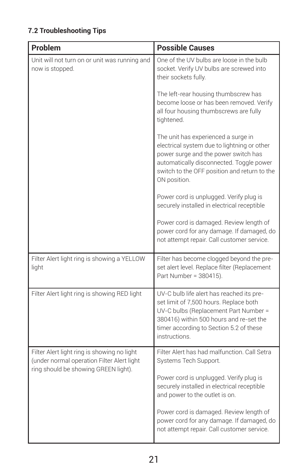#### **7.2 Troubleshooting Tips**

| Problem                                                                                                                           | <b>Possible Causes</b>                                                                                                                                                                                                                 |  |
|-----------------------------------------------------------------------------------------------------------------------------------|----------------------------------------------------------------------------------------------------------------------------------------------------------------------------------------------------------------------------------------|--|
| Unit will not turn on or unit was running and<br>now is stopped.                                                                  | One of the UV bulbs are loose in the bulb<br>socket. Verify UV bulbs are screwed into<br>their sockets fully.                                                                                                                          |  |
|                                                                                                                                   | The left-rear housing thumbscrew has<br>become loose or has been removed. Verify<br>all four housing thumbscrews are fully<br>tightened.                                                                                               |  |
|                                                                                                                                   | The unit has experienced a surge in<br>electrical system due to lightning or other<br>power surge and the power switch has<br>automatically disconnected. Toggle power<br>switch to the OFF position and return to the<br>ON position. |  |
|                                                                                                                                   | Power cord is unplugged. Verify plug is<br>securely installed in electrical receptible                                                                                                                                                 |  |
|                                                                                                                                   | Power cord is damaged. Review length of<br>power cord for any damage. If damaged, do<br>not attempt repair. Call customer service.                                                                                                     |  |
| Filter Alert light ring is showing a YELLOW<br>light                                                                              | Filter has become clogged beyond the pre-<br>set alert level. Replace filter (Replacement<br>Part Number = 380415).                                                                                                                    |  |
| Filter Alert light ring is showing RED light                                                                                      | UV-C bulb life alert has reached its pre-<br>set limit of 7,500 hours. Replace both<br>UV-C bulbs (Replacement Part Number =<br>380416) within 500 hours and re-set the<br>timer according to Section 5.2 of these<br>instructions.    |  |
| Filter Alert light ring is showing no light<br>(under normal operation Filter Alert light<br>ring should be showing GREEN light). | Filter Alert has had malfunction. Call Setra<br>Systems Tech Support.                                                                                                                                                                  |  |
|                                                                                                                                   | Power cord is unplugged. Verify plug is<br>securely installed in electrical receptible<br>and power to the outlet is on.                                                                                                               |  |
|                                                                                                                                   | Power cord is damaged. Review length of<br>power cord for any damage. If damaged, do<br>not attempt repair. Call customer service.                                                                                                     |  |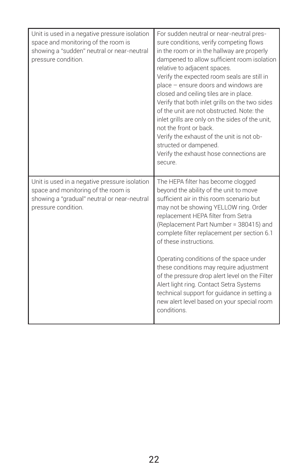| Unit is used in a negative pressure isolation<br>space and monitoring of the room is<br>showing a "sudden" neutral or near-neutral<br>pressure condition.  | For sudden neutral or near-neutral pres-<br>sure conditions, verify competing flows<br>in the room or in the hallway are properly<br>dampened to allow sufficient room isolation<br>relative to adjacent spaces.<br>Verify the expected room seals are still in<br>place - ensure doors and windows are<br>closed and ceiling tiles are in place.<br>Verify that both inlet grills on the two sides<br>of the unit are not obstructed. Note: the<br>inlet grills are only on the sides of the unit,<br>not the front or back.<br>Verify the exhaust of the unit is not ob-<br>structed or dampened.<br>Verify the exhaust hose connections are<br>Secure |
|------------------------------------------------------------------------------------------------------------------------------------------------------------|----------------------------------------------------------------------------------------------------------------------------------------------------------------------------------------------------------------------------------------------------------------------------------------------------------------------------------------------------------------------------------------------------------------------------------------------------------------------------------------------------------------------------------------------------------------------------------------------------------------------------------------------------------|
| Unit is used in a negative pressure isolation<br>space and monitoring of the room is<br>showing a "gradual" neutral or near-neutral<br>pressure condition. | The HEPA filter has become clogged<br>beyond the ability of the unit to move<br>sufficient air in this room scenario but<br>may not be showing YELLOW ring. Order<br>replacement HEPA filter from Setra<br>(Replacement Part Number = 380415) and<br>complete filter replacement per section 6.1<br>of these instructions.<br>Operating conditions of the space under<br>these conditions may require adjustment<br>of the pressure drop alert level on the Filter<br>Alert light ring. Contact Setra Systems<br>technical support for quidance in setting a<br>new alert level based on your special room<br>conditions.                                |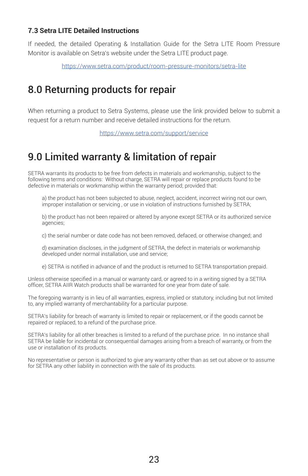#### **7.3 Setra LITE Detailed Instructions**

If needed, the detailed Operating & Installation Guide for the Setra LITE Room Pressure Monitor is available on Setra's website under the Setra LITE product page.

https://www.setra.com/product/room-pressure-monitors/setra-lite

# 8.0 Returning products for repair

When returning a product to Setra Systems, please use the link provided below to submit a request for a return number and receive detailed instructions for the return.

https://www.setra.com/support/service

# 9.0 Limited warranty & limitation of repair

SETRA warrants its products to be free from defects in materials and workmanship, subject to the following terms and conditions: Without charge, SETRA will repair or replace products found to be defective in materials or workmanship within the warranty period; provided that:

a) the product has not been subjected to abuse, neglect, accident, incorrect wiring not our own, improper installation or servicing , or use in violation of instructions furnished by SETRA;

b) the product has not been repaired or altered by anyone except SETRA or its authorized service agencies;

c) the serial number or date code has not been removed, defaced, or otherwise changed; and

d) examination discloses, in the judgment of SETRA, the defect in materials or workmanship developed under normal installation, use and service;

e) SETRA is notified in advance of and the product is returned to SETRA transportation prepaid.

Unless otherwise specified in a manual or warranty card, or agreed to in a writing signed by a SETRA officer, SETRA AIIR Watch products shall be warranted for one year from date of sale.

The foregoing warranty is in lieu of all warranties, express, implied or statutory, including but not limited to, any implied warranty of merchantability for a particular purpose.

SETRA's liability for breach of warranty is limited to repair or replacement, or if the goods cannot be repaired or replaced, to a refund of the purchase price.

SETRA's liability for all other breaches is limited to a refund of the purchase price. In no instance shall SETRA be liable for incidental or consequential damages arising from a breach of warranty, or from the use or installation of its products.

No representative or person is authorized to give any warranty other than as set out above or to assume for SETRA any other liability in connection with the sale of its products.